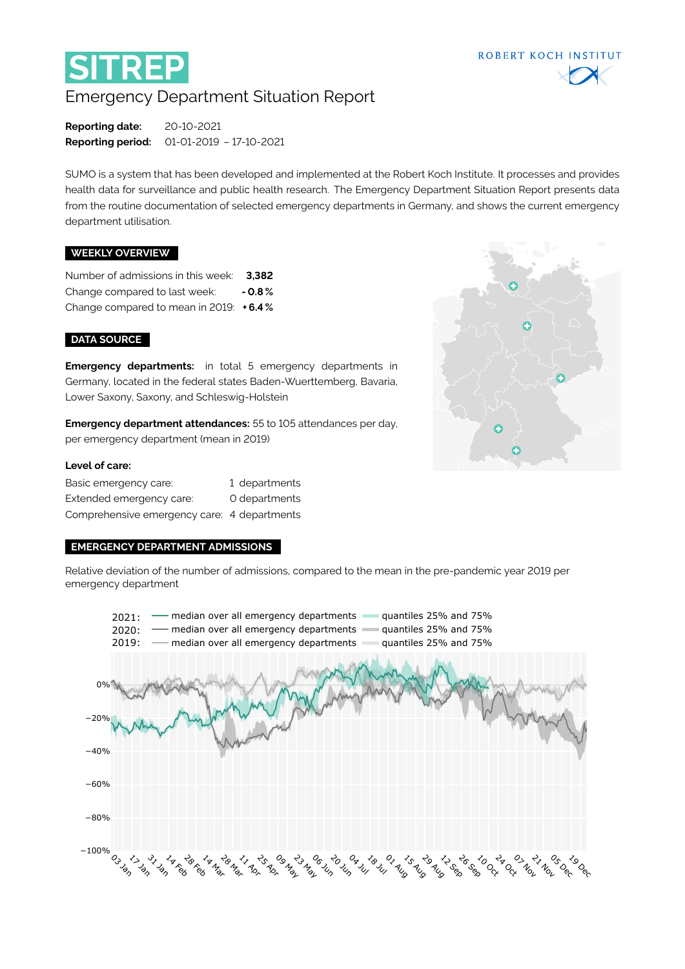

# Emergency Department Situation Report

**Reporting date:** 20-10-2021 **Reporting period:** 01-01-2019 – 17-10-2021

SUMO is a system that has been developed and implemented at the Robert Koch Institute. It processes and provides health data for surveillance and public health research. The Emergency Department Situation Report presents data from the routine documentation of selected emergency departments in Germany, and shows the current emergency department utilisation.

#### **WEEKLY OVERVIEW**

Number of admissions in this week: **3,382** Change compared to last week: **- 0.8 %** Change compared to mean in 2019: **+ 6.4 %**

#### **DATA SOURCE**

**Emergency departments:** in total 5 emergency departments in Germany, located in the federal states Baden-Wuerttemberg, Bavaria, Lower Saxony, Saxony, and Schleswig-Holstein

**Emergency department attendances:** 55 to 105 attendances per day, per emergency department (mean in 2019)

### **Level of care:**

| Basic emergency care:                       | 1 departments |
|---------------------------------------------|---------------|
| Extended emergency care:                    | O departments |
| Comprehensive emergency care: 4 departments |               |

#### **EMERGENCY DEPARTMENT ADMISSIONS**

Relative deviation of the number of admissions, compared to the mean in the pre-pandemic year 2019 per emergency department





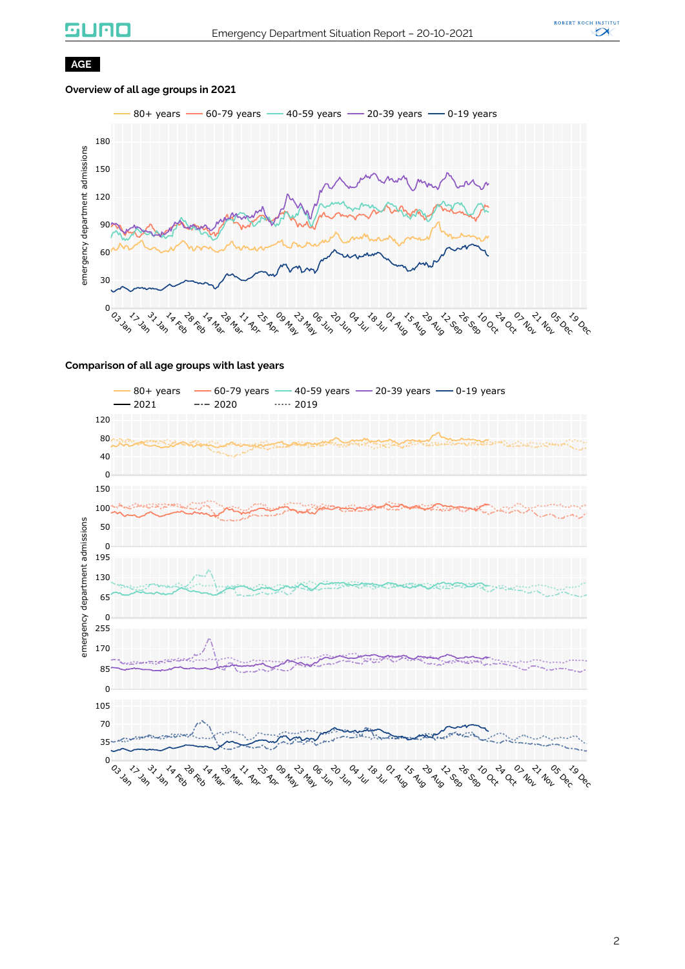# suno



# **AGE**

# **Overview of all age groups in 2021**



#### **Comparison of all age groups with last years**

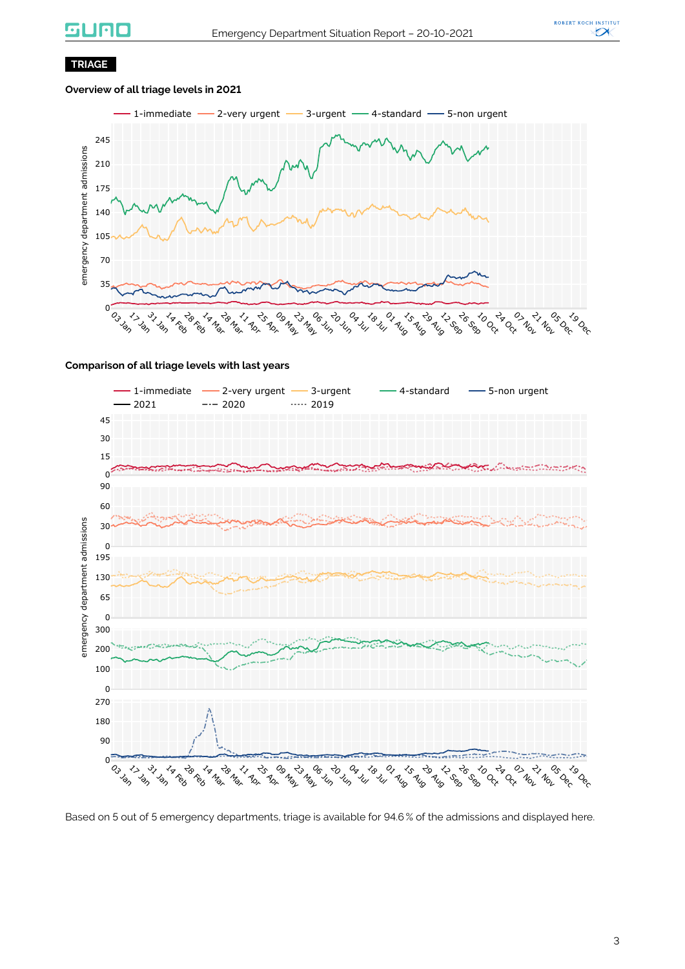# **GUNO**



# **TRIAGE**

### **Overview of all triage levels in 2021**



#### **Comparison of all triage levels with last years**



Based on 5 out of 5 emergency departments, triage is available for 94.6 % of the admissions and displayed here.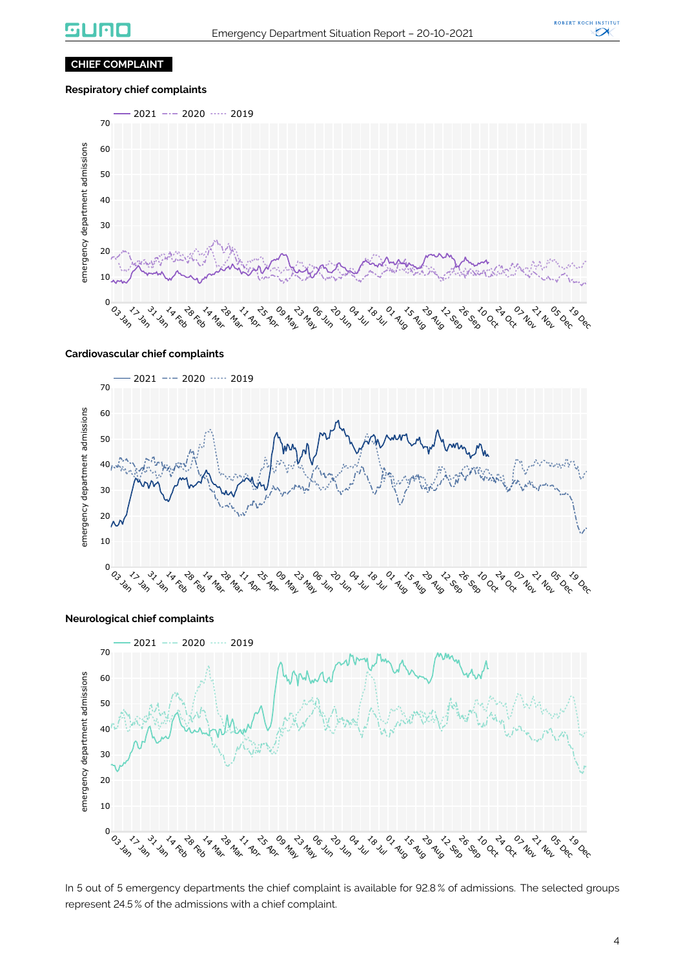

# **CHIEF COMPLAINT**

# **Respiratory chief complaints**



#### **Cardiovascular chief complaints**



#### **Neurological chief complaints**



In 5 out of 5 emergency departments the chief complaint is available for 92.8% of admissions. The selected groups represent 24.5 % of the admissions with a chief complaint.